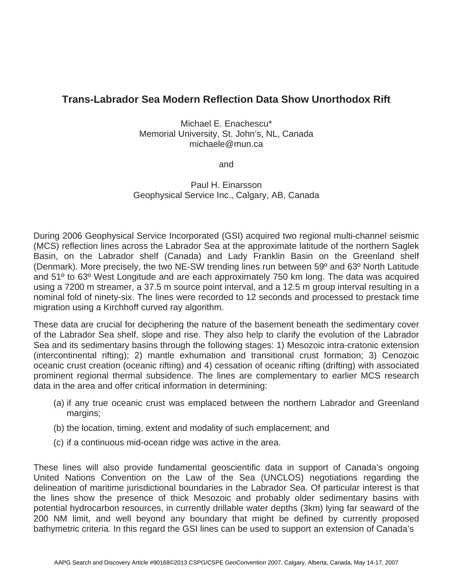## **Trans-Labrador Sea Modern Reflection Data Show Unorthodox Rift**

Michael E. Enachescu\* Memorial University, St. John's, NL, Canada michaele@mun.ca

and

Paul H. Einarsson Geophysical Service Inc., Calgary, AB, Canada

During 2006 Geophysical Service Incorporated (GSI) acquired two regional multi-channel seismic (MCS) reflection lines across the Labrador Sea at the approximate latitude of the northern Saglek Basin, on the Labrador shelf (Canada) and Lady Franklin Basin on the Greenland shelf (Denmark). More precisely, the two NE-SW trending lines run between 59º and 63º North Latitude and 51º to 63º West Longitude and are each approximately 750 km long. The data was acquired using a 7200 m streamer, a 37.5 m source point interval, and a 12.5 m group interval resulting in a nominal fold of ninety-six. The lines were recorded to 12 seconds and processed to prestack time migration using a Kirchhoff curved ray algorithm.

These data are crucial for deciphering the nature of the basement beneath the sedimentary cover of the Labrador Sea shelf, slope and rise. They also help to clarify the evolution of the Labrador Sea and its sedimentary basins through the following stages: 1) Mesozoic intra-cratonic extension (intercontinental rifting); 2) mantle exhumation and transitional crust formation; 3) Cenozoic oceanic crust creation (oceanic rifting) and 4) cessation of oceanic rifting (drifting) with associated prominent regional thermal subsidence. The lines are complementary to earlier MCS research data in the area and offer critical information in determining:

- (a) if any true oceanic crust was emplaced between the northern Labrador and Greenland margins;
- (b) the location, timing, extent and modality of such emplacement; and
- (c) if a continuous mid-ocean ridge was active in the area.

These lines will also provide fundamental geoscientific data in support of Canada's ongoing United Nations Convention on the Law of the Sea (UNCLOS) negotiations regarding the delineation of maritime jurisdictional boundaries in the Labrador Sea. Of particular interest is that the lines show the presence of thick Mesozoic and probably older sedimentary basins with potential hydrocarbon resources, in currently drillable water depths (3km) lying far seaward of the 200 NM limit, and well beyond any boundary that might be defined by currently proposed bathymetric criteria. In this regard the GSI lines can be used to support an extension of Canada's